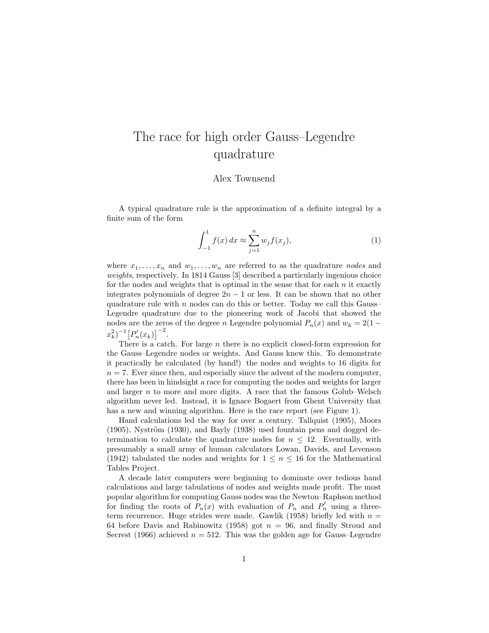## The race for high order Gauss–Legendre quadrature

## Alex Townsend

A typical quadrature rule is the approximation of a definite integral by a finite sum of the form

$$
\int_{-1}^{1} f(x) dx \approx \sum_{j=1}^{n} w_j f(x_j),
$$
 (1)

where  $x_1, \ldots, x_n$  and  $w_1, \ldots, w_n$  are referred to as the quadrature *nodes* and weights, respectively. In 1814 Gauss [3] described a particularly ingenious choice for the nodes and weights that is optimal in the sense that for each  $n$  it exactly integrates polynomials of degree  $2n - 1$  or less. It can be shown that no other quadrature rule with  $n$  nodes can do this or better. Today we call this Gauss-Legendre quadrature due to the pioneering work of Jacobi that showed the nodes are the zeros of the degree n Legendre polynomial  $P_n(x)$  and  $w_k = 2(1$  $x_k^2$ )<sup>-1</sup> $[P'_n(x_k)]^{-2}$ .

There is a catch. For large  $n$  there is no explicit closed-form expression for the Gauss–Legendre nodes or weights. And Gauss knew this. To demonstrate it practically he calculated (by hand!) the nodes and weights to 16 digits for  $n = 7$ . Ever since then, and especially since the advent of the modern computer, there has been in hindsight a race for computing the nodes and weights for larger and larger  $n$  to more and more digits. A race that the famous Golub–Welsch algorithm never led. Instead, it is Ignace Bogaert from Ghent University that has a new and winning algorithm. Here is the race report (see Figure 1).

Hand calculations led the way for over a century. Tallquist (1905), Moors  $(1905)$ , Nyström  $(1930)$ , and Bayly  $(1938)$  used fountain pens and dogged determination to calculate the quadrature nodes for  $n \leq 12$ . Eventually, with presumably a small army of human calculators Lowan, Davids, and Levenson (1942) tabulated the nodes and weights for  $1 \leq n \leq 16$  for the Mathematical Tables Project.

A decade later computers were beginning to dominate over tedious hand calculations and large tabulations of nodes and weights made profit. The most popular algorithm for computing Gauss nodes was the Newton–Raphson method for finding the roots of  $P_n(x)$  with evaluation of  $P_n$  and  $P'_n$  using a threeterm recurrence. Huge strides were made. Gawlik (1958) briefly led with  $n =$ 64 before Davis and Rabinowitz (1958) got  $n = 96$ , and finally Stroud and Secrest (1966) achieved  $n = 512$ . This was the golden age for Gauss–Legendre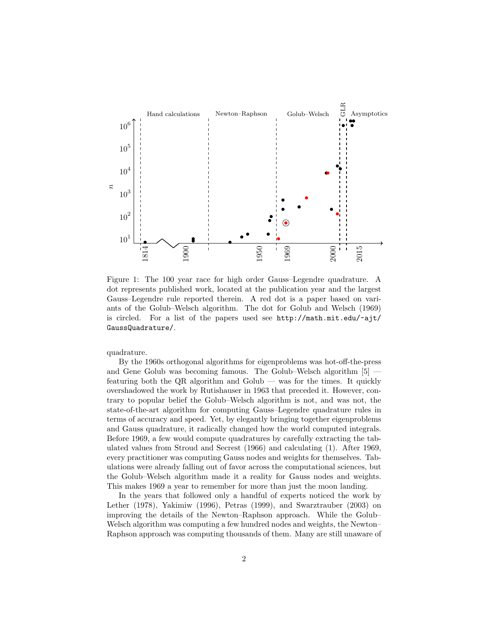

Figure 1: The 100 year race for high order Gauss–Legendre quadrature. A dot represents published work, located at the publication year and the largest Gauss–Legendre rule reported therein. A red dot is a paper based on variants of the Golub–Welsch algorithm. The dot for Golub and Welsch (1969) is circled. For a list of the papers used see http://math.mit.edu/~ajt/ GaussQuadrature/.

quadrature.

By the 1960s orthogonal algorithms for eigenproblems was hot-off-the-press and Gene Golub was becoming famous. The Golub–Welsch algorithm [5] featuring both the QR algorithm and Golub — was for the times. It quickly overshadowed the work by Rutishauser in 1963 that preceded it. However, contrary to popular belief the Golub–Welsch algorithm is not, and was not, the state-of-the-art algorithm for computing Gauss–Legendre quadrature rules in terms of accuracy and speed. Yet, by elegantly bringing together eigenproblems and Gauss quadrature, it radically changed how the world computed integrals. Before 1969, a few would compute quadratures by carefully extracting the tabulated values from Stroud and Secrest (1966) and calculating (1). After 1969, every practitioner was computing Gauss nodes and weights for themselves. Tabulations were already falling out of favor across the computational sciences, but the Golub–Welsch algorithm made it a reality for Gauss nodes and weights. This makes 1969 a year to remember for more than just the moon landing.

In the years that followed only a handful of experts noticed the work by Lether (1978), Yakimiw (1996), Petras (1999), and Swarztrauber (2003) on improving the details of the Newton–Raphson approach. While the Golub– Welsch algorithm was computing a few hundred nodes and weights, the Newton– Raphson approach was computing thousands of them. Many are still unaware of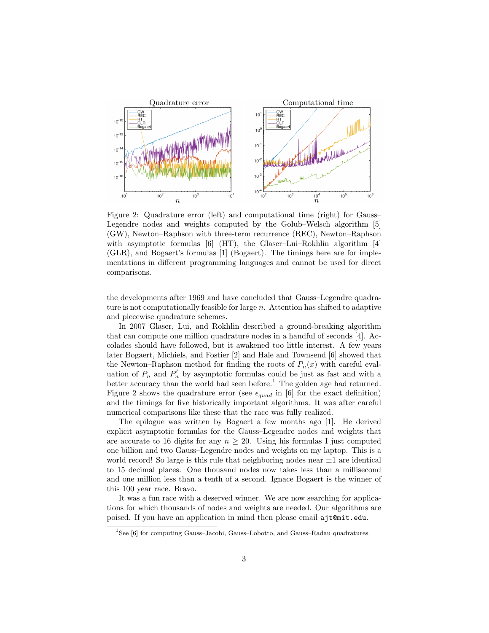

Figure 2: Quadrature error (left) and computational time (right) for Gauss– Legendre nodes and weights computed by the Golub–Welsch algorithm [5] (GW), Newton–Raphson with three-term recurrence (REC), Newton–Raphson with asymptotic formulas [6] (HT), the Glaser–Lui–Rokhlin algorithm [4] (GLR), and Bogaert's formulas [1] (Bogaert). The timings here are for implementations in different programming languages and cannot be used for direct comparisons.

the developments after 1969 and have concluded that Gauss–Legendre quadrature is not computationally feasible for large  $n$ . Attention has shifted to adaptive and piecewise quadrature schemes.

In 2007 Glaser, Lui, and Rokhlin described a ground-breaking algorithm that can compute one million quadrature nodes in a handful of seconds [4]. Accolades should have followed, but it awakened too little interest. A few years later Bogaert, Michiels, and Fostier [2] and Hale and Townsend [6] showed that the Newton–Raphson method for finding the roots of  $P_n(x)$  with careful evaluation of  $P_n$  and  $P'_n$  by asymptotic formulas could be just as fast and with a better accuracy than the world had seen before.<sup>1</sup> The golden age had returned. Figure 2 shows the quadrature error (see  $\epsilon_{quad}$  in [6] for the exact definition) and the timings for five historically important algorithms. It was after careful numerical comparisons like these that the race was fully realized.

The epilogue was written by Bogaert a few months ago [1]. He derived explicit asymptotic formulas for the Gauss–Legendre nodes and weights that are accurate to 16 digits for any  $n > 20$ . Using his formulas I just computed one billion and two Gauss–Legendre nodes and weights on my laptop. This is a world record! So large is this rule that neighboring nodes near  $\pm 1$  are identical to 15 decimal places. One thousand nodes now takes less than a millisecond and one million less than a tenth of a second. Ignace Bogaert is the winner of this 100 year race. Bravo.

It was a fun race with a deserved winner. We are now searching for applications for which thousands of nodes and weights are needed. Our algorithms are poised. If you have an application in mind then please email ajt@mit.edu.

<sup>&</sup>lt;sup>1</sup>See [6] for computing Gauss-Jacobi, Gauss-Lobotto, and Gauss-Radau quadratures.